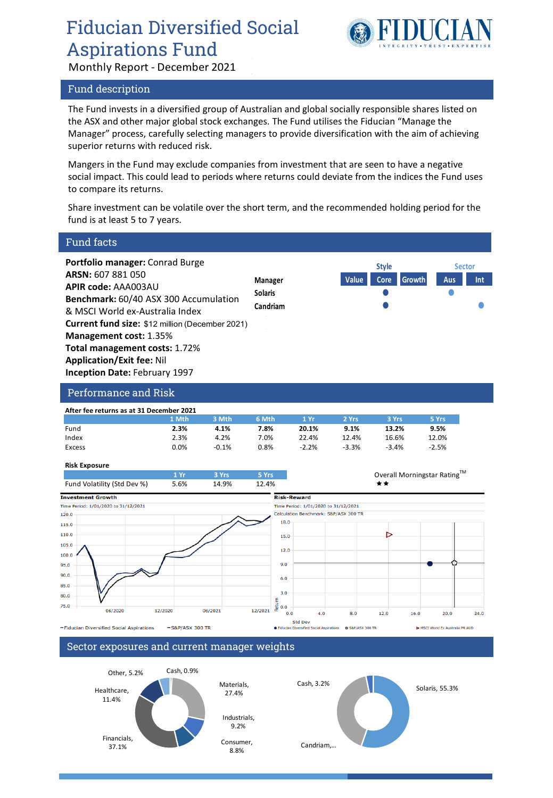## Fiducian Diversified Social Aspirations Fund



Monthly Report - December 2021

#### Fund description

The Fund invests in a diversified group of Australian and global socially responsible shares listed on the ASX and other major global stock exchanges. The Fund utilises the Fiducian "Manage the Manager" process, carefully selecting managers to provide diversification with the aim of achieving superior returns with reduced risk.

Mangers in the Fund may exclude companies from investment that are seen to have a negative social impact. This could lead to periods where returns could deviate from the indices the Fund uses to compare its returns.

Share investment can be volatile over the short term, and the recommended holding period for the fund is at least 5 to 7 years.